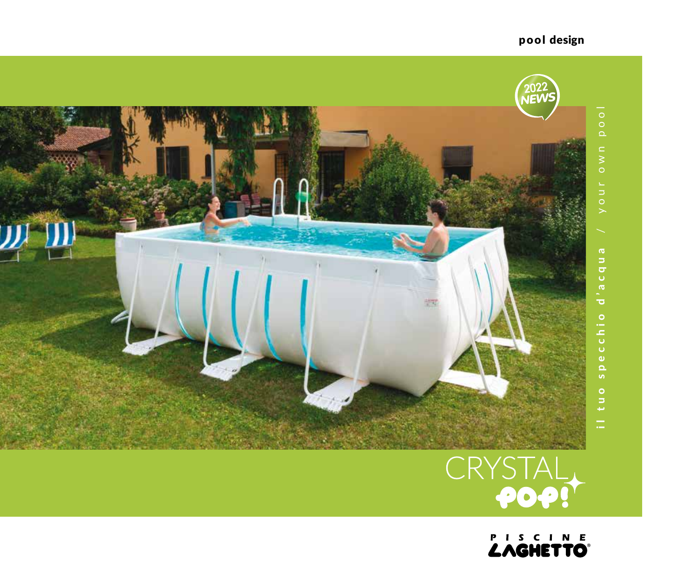

**EXAGHETTO®** 

## pool design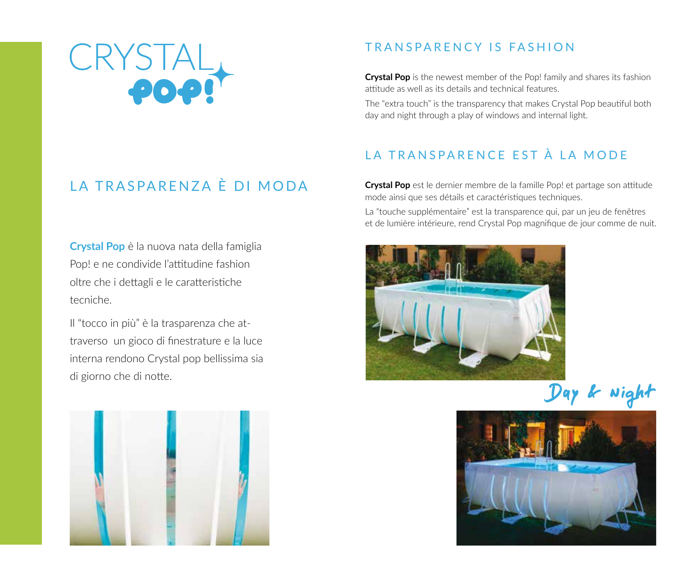

### TRANSPARENCY IS FASHION

**Crystal Pop** is the newest member of the Pop! family and shares its fashion attitude as well as its details and technical features.

The "extra touch" is the transparency that makes Crystal Pop beautiful both day and night through a play of windows and internal light.

## LA TRANSPARENCE EST À LA MODE

**Crystal Pop** est le dernier membre de la famille Pop! et partage son attitude mode ainsi que ses détails et caractéristiques techniques.

La "touche supplémentaire" est la transparence qui, par un jeu de fenêtres et de lumière intérieure, rend Crystal Pop magnifique de jour comme de nuit.



Day & Night



# LA TRASPARENZA È DI MODA

**Crystal Pop** è la nuova nata della famiglia Pop! e ne condivide l'attitudine fashion oltre che i dettagli e le caratteristiche tecniche.

Il "tocco in più" è la trasparenza che attraverso un gioco di finestrature e la luce interna rendono Crystal pop bellissima sia di giorno che di notte.

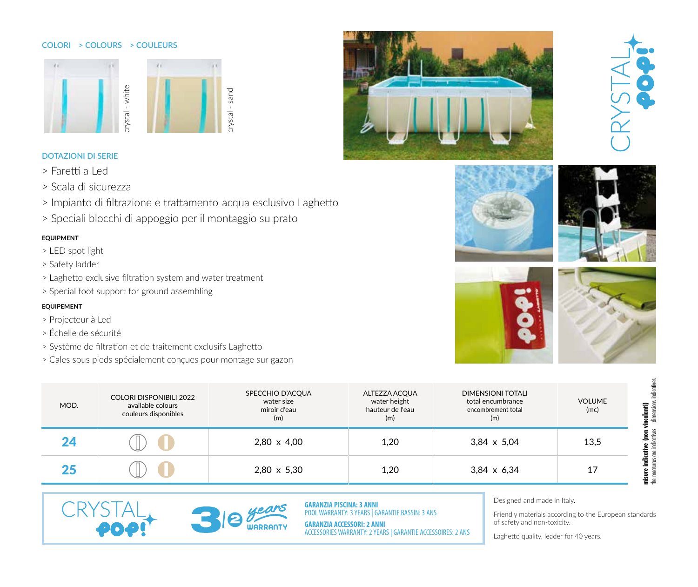#### **COLORI > COLOURS > COULEURS**



### **DOTAZIONI DI SERIE**

- > Faretti a Led
- > Scala di sicurezza
- > Impianto di filtrazione e trattamento acqua esclusivo Laghetto
- > Speciali blocchi di appoggio per il montaggio su prato

### **equipment**

- > LED spot light
- > Safety ladder
- > Laghetto exclusive filtration system and wate
- > Special foot support for ground assembling

#### **equipement**

- > Projecteur à Led
- > Échelle de sécurité

CRY

- > Système de filtration et de traitement exclusifs Laghetto
- > Cales sous pieds spécialement conçues pour montage sur gazon

| er treatment |  |  |
|--------------|--|--|

**WARRANTY** 













| MOD. | <b>COLORI DISPONIBILI 2022</b><br>available colours<br>couleurs disponibles | SPECCHIO D'ACQUA<br>water size<br>miroir d'eau<br>(m) | ALTEZZA ACQUA<br>water height<br>hauteur de l'eau<br>(m) | <b>DIMENSIONI TOTALI</b><br>total encumbrance<br>encombrement total<br>(m) | <b>VOLUME</b><br>(mc) | î<br>ਫ਼ |
|------|-----------------------------------------------------------------------------|-------------------------------------------------------|----------------------------------------------------------|----------------------------------------------------------------------------|-----------------------|---------|
|      |                                                                             | $2,80 \times 4,00$                                    | 1,20                                                     | $3,84 \times 5,04$                                                         | 13,5                  |         |
|      |                                                                             | 2,80 x 5,30                                           | 1,20                                                     | $3,84 \times 6,34$                                                         |                       |         |

the measures are indicatives dimensions indicatives the measures are indicatives dimensions indicatives **misure indicative (non vincolanti)**



**GARANZIA PISCINA: 3 ANNI** POOL WARRANTY: 3 YEARS | GARANTIE BASSIN: 3 ANS

**GARANZIA ACCESSORI: 2 ANNI** ACCESSORIES WARRANTY: 2 YEARS | GARANTIE ACCESSOIRES: 2 ANS Designed and made in Italy.

Friendly materials according to the European standards of safety and non-toxicity.

Laghetto quality, leader for 40 years.